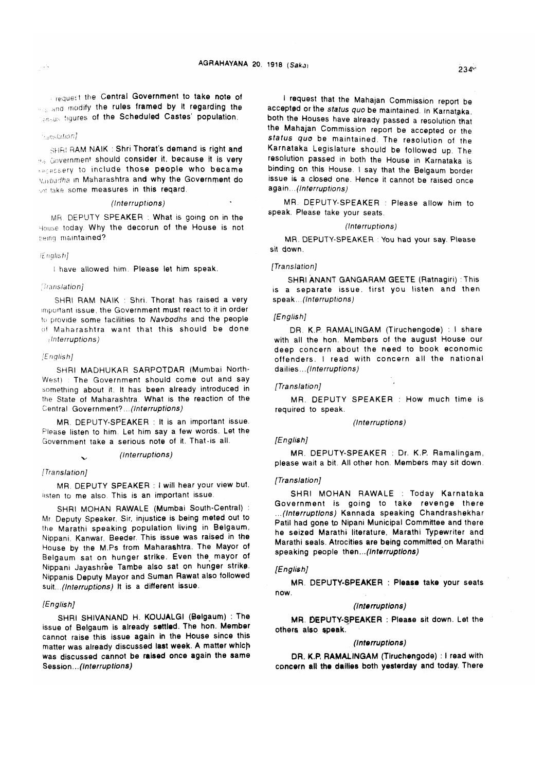request the Central Government to take note of and modify the rules framed by It regarding the **Figures of the Scheduled Castes' population.** 

# *'■ :!n^ i at ion]*

SHR! RAM NAIK : Shri Thorat's demand is right and ?u. Government should consider it. because it is very recessery to include those people who became Vji*-badha* m Maharashtra and why the Government do take some measures in this reqard.

### *(Interruptions)*

MR DEPUTY SPEAKER : What is going on in the House today. Why the decorun of the House is not being maintained?

### *! English]*

I have allowed him, Please let him speak.

### ■*Translation]*

SHRI RAM NAIK : Shri. Thorat has raised a very important issue, the Government must react to it in order to provide some facilities to *Navbodhs* and the people of Maharashtra want that this should be done I*Interruptions)*

# *[English]*

SHRI MADHUKAR SARPOTDAR (Mumbai North-West) : The Government should come out and say something about it. It has been already introduced in the State of Maharashtra. What is the reaction of the Central Government?...*(Interruptions)*

MR. DEPUTY-SPEAKER : It is an important issue. Please listen to him. Let him say a few words. Let the Government take a serious note of it. That-is all.

# v> *(Interruptions)*

#### *ITranslation]*

MR. DEPUTY SPEAKER : I will hear your view but. listen to me also. This is an important issue.

SHRI MOHAN RAWALE (Mumbai South-Central) : Mr Deputy Speaker. Sir. injustice is being meted out to the Marathi speaking population living in Belgaum, Nippani, Kanwar, Beeder. This issue was raised in the House by the M.Ps from Maharashtra. The Mayor of Belgaum sat on hunger strike. Even the mayor of Nippani Jayashree Tambe also sat on hunger strike. Nippanis Deputy Mayor and Suman Rawat also followed suit. (Interruptions) It is a different issue.

### *[English]*

SHRI SHIVANAND H. KOUJALGI (Belgaum) : The issue of Belgaum is already settled. The hon. Member cannot raise this issue again in the House since this matter was already discussed last week. A matter which was discussed cannot be raised once again the same Session... *(Interruptions)*

I request that the Mahajan Commission report be accepted or the *status quo* be maintained. In Karnataka, both the Houses have already passed a resolution that the Mahajan Commission report be accepted or the status quo be maintained. The resolution of the Karnataka Legislature should be followed up. The resolution passed in both the House in Karnataka is binding on this House. I say that the Belgaum border issue is a closed one. Hence it cannot be raised once again *...(Interruptions)*

MR. DEPUTY-SPEAKER : Please allow him to speak, Please take your seats.

### *(Interruptions)*

MR. DEPUTY-SPEAKER You had your say. Please sit down.

### *[Translation]*

SHRI ANANT GANGARAM GEETE (Ratnagiri) :This is a separate issue, first you listen and then speak.., *(Interruptions)*

# *[English]*

DR. K.P. RAMALINGAM (Tiruchengode) : I share with all the hon. Members of the august House our deep concern about the need to book economic o ffenders. I read with concern all the national dailies... *(Interruptions)*

# *[Translation]*

MR. DEPUTY SPEAKER : How much time is required to speak.

#### *(Interruptions)*

# *[English]*

MR. DEPUTY-SPEAKER : Dr. K.P. Ramalingam, please wait a bit. All other hon. Members may sit down.

### *[Translation]*

SHRI MOHAN RAWALE : Today Karnataka Government is going to take revenge there *...(Interruptions)* Kannada speaking Chandrashekhar Patil had gone to Nipani Municipal Committee and there he seized Marathi literature, Marathi Typewriter and Marathi seals. Atrocities are being committed on Marathi speaking people then...*(Interruptions)*

### *[English]*

MR. DEPUTY\*SPEAKER : Please take your seats now.

# *(Interruptions)*

MR. DEPUTY-SPEAKER : Please sit down. Let the others also speak.

### *(Interruptions)*

DR. K.P. RAMALINGAM (Tiruchengode) : I read with concern all the dailies both yesterday and today. There